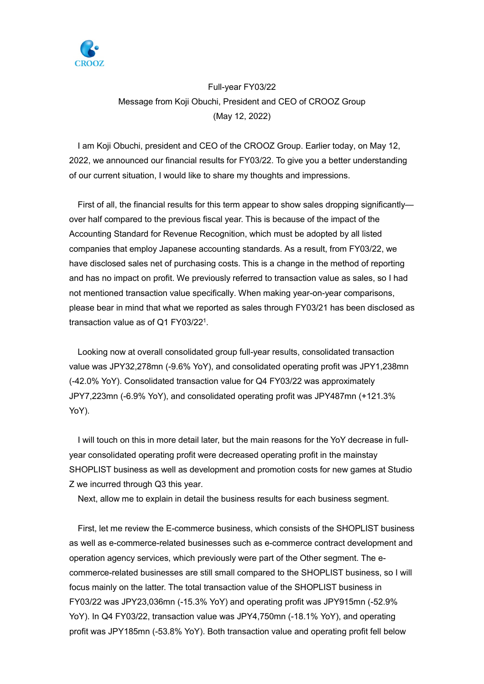

## Full-year FY03/22 Message from Koji Obuchi, President and CEO of CROOZ Group (May 12, 2022)

I am Koji Obuchi, president and CEO of the CROOZ Group. Earlier today, on May 12, 2022, we announced our financial results for FY03/22. To give you a better understanding of our current situation, I would like to share my thoughts and impressions.

First of all, the financial results for this term appear to show sales dropping significantly over half compared to the previous fiscal year. This is because of the impact of the Accounting Standard for Revenue Recognition, which must be adopted by all listed companies that employ Japanese accounting standards. As a result, from FY03/22, we have disclosed sales net of purchasing costs. This is a change in the method of reporting and has no impact on profit. We previously referred to transaction value as sales, so I had not mentioned transaction value specifically. When making year-on-year comparisons, please bear in mind that what we reported as sales through FY03/21 has been disclosed as transaction value as of Q1 FY03/221.

Looking now at overall consolidated group full-year results, consolidated transaction value was JPY32,278mn (-9.6% YoY), and consolidated operating profit was JPY1,238mn (-42.0% YoY). Consolidated transaction value for Q4 FY03/22 was approximately JPY7,223mn (-6.9% YoY), and consolidated operating profit was JPY487mn (+121.3% YoY).

I will touch on this in more detail later, but the main reasons for the YoY decrease in fullyear consolidated operating profit were decreased operating profit in the mainstay SHOPLIST business as well as development and promotion costs for new games at Studio Z we incurred through Q3 this year.

Next, allow me to explain in detail the business results for each business segment.

First, let me review the E-commerce business, which consists of the SHOPLIST business as well as e-commerce-related businesses such as e-commerce contract development and operation agency services, which previously were part of the Other segment. The ecommerce-related businesses are still small compared to the SHOPLIST business, so I will focus mainly on the latter. The total transaction value of the SHOPLIST business in FY03/22 was JPY23,036mn (-15.3% YoY) and operating profit was JPY915mn (-52.9% YoY). In Q4 FY03/22, transaction value was JPY4,750mn (-18.1% YoY), and operating profit was JPY185mn (-53.8% YoY). Both transaction value and operating profit fell below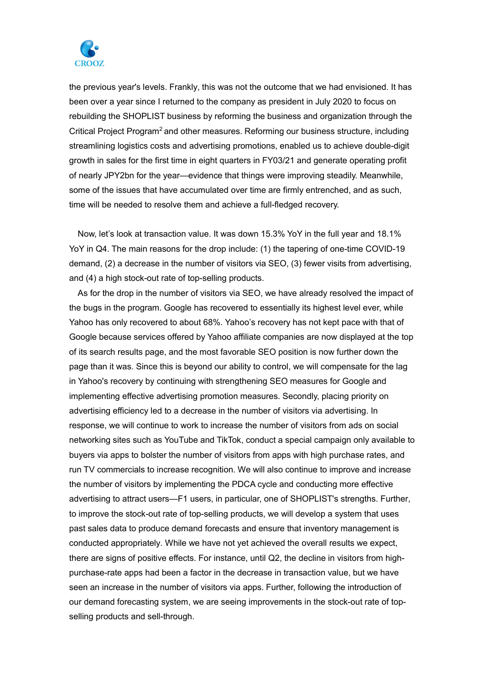

the previous year's levels. Frankly, this was not the outcome that we had envisioned. It has been over a year since I returned to the company as president in July 2020 to focus on rebuilding the SHOPLIST business by reforming the business and organization through the Critical Project Program<sup>2</sup> and other measures. Reforming our business structure, including streamlining logistics costs and advertising promotions, enabled us to achieve double-digit growth in sales for the first time in eight quarters in FY03/21 and generate operating profit of nearly JPY2bn for the year—evidence that things were improving steadily. Meanwhile, some of the issues that have accumulated over time are firmly entrenched, and as such, time will be needed to resolve them and achieve a full-fledged recovery.

Now, let's look at transaction value. It was down 15.3% YoY in the full year and 18.1% YoY in Q4. The main reasons for the drop include: (1) the tapering of one-time COVID-19 demand, (2) a decrease in the number of visitors via SEO, (3) fewer visits from advertising, and (4) a high stock-out rate of top-selling products.

As for the drop in the number of visitors via SEO, we have already resolved the impact of the bugs in the program. Google has recovered to essentially its highest level ever, while Yahoo has only recovered to about 68%. Yahoo's recovery has not kept pace with that of Google because services offered by Yahoo affiliate companies are now displayed at the top of its search results page, and the most favorable SEO position is now further down the page than it was. Since this is beyond our ability to control, we will compensate for the lag in Yahoo's recovery by continuing with strengthening SEO measures for Google and implementing effective advertising promotion measures. Secondly, placing priority on advertising efficiency led to a decrease in the number of visitors via advertising. In response, we will continue to work to increase the number of visitors from ads on social networking sites such as YouTube and TikTok, conduct a special campaign only available to buyers via apps to bolster the number of visitors from apps with high purchase rates, and run TV commercials to increase recognition. We will also continue to improve and increase the number of visitors by implementing the PDCA cycle and conducting more effective advertising to attract users—F1 users, in particular, one of SHOPLIST's strengths. Further, to improve the stock-out rate of top-selling products, we will develop a system that uses past sales data to produce demand forecasts and ensure that inventory management is conducted appropriately. While we have not yet achieved the overall results we expect, there are signs of positive effects. For instance, until Q2, the decline in visitors from highpurchase-rate apps had been a factor in the decrease in transaction value, but we have seen an increase in the number of visitors via apps. Further, following the introduction of our demand forecasting system, we are seeing improvements in the stock-out rate of topselling products and sell-through.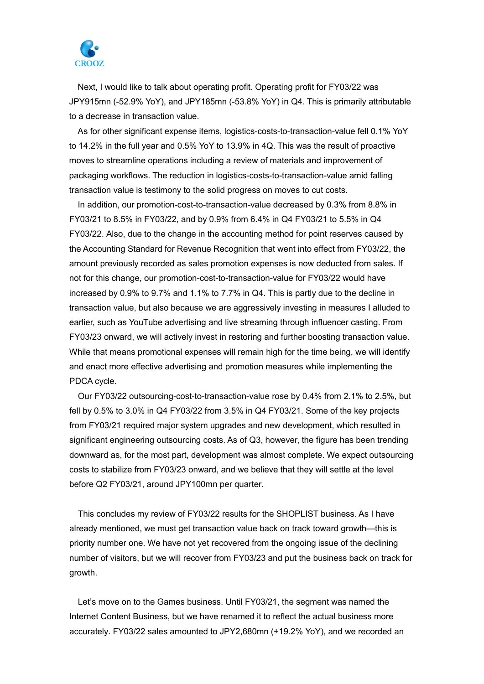

Next, I would like to talk about operating profit. Operating profit for FY03/22 was JPY915mn (-52.9% YoY), and JPY185mn (-53.8% YoY) in Q4. This is primarily attributable to a decrease in transaction value.

As for other significant expense items, logistics-costs-to-transaction-value fell 0.1% YoY to 14.2% in the full year and 0.5% YoY to 13.9% in 4Q. This was the result of proactive moves to streamline operations including a review of materials and improvement of packaging workflows. The reduction in logistics-costs-to-transaction-value amid falling transaction value is testimony to the solid progress on moves to cut costs.

In addition, our promotion-cost-to-transaction-value decreased by 0.3% from 8.8% in FY03/21 to 8.5% in FY03/22, and by 0.9% from 6.4% in Q4 FY03/21 to 5.5% in Q4 FY03/22. Also, due to the change in the accounting method for point reserves caused by the Accounting Standard for Revenue Recognition that went into effect from FY03/22, the amount previously recorded as sales promotion expenses is now deducted from sales. If not for this change, our promotion-cost-to-transaction-value for FY03/22 would have increased by 0.9% to 9.7% and 1.1% to 7.7% in Q4. This is partly due to the decline in transaction value, but also because we are aggressively investing in measures I alluded to earlier, such as YouTube advertising and live streaming through influencer casting. From FY03/23 onward, we will actively invest in restoring and further boosting transaction value. While that means promotional expenses will remain high for the time being, we will identify and enact more effective advertising and promotion measures while implementing the PDCA cycle.

Our FY03/22 outsourcing-cost-to-transaction-value rose by 0.4% from 2.1% to 2.5%, but fell by 0.5% to 3.0% in Q4 FY03/22 from 3.5% in Q4 FY03/21. Some of the key projects from FY03/21 required major system upgrades and new development, which resulted in significant engineering outsourcing costs. As of Q3, however, the figure has been trending downward as, for the most part, development was almost complete. We expect outsourcing costs to stabilize from FY03/23 onward, and we believe that they will settle at the level before Q2 FY03/21, around JPY100mn per quarter.

This concludes my review of FY03/22 results for the SHOPLIST business. As I have already mentioned, we must get transaction value back on track toward growth—this is priority number one. We have not yet recovered from the ongoing issue of the declining number of visitors, but we will recover from FY03/23 and put the business back on track for growth.

Let's move on to the Games business. Until FY03/21, the segment was named the Internet Content Business, but we have renamed it to reflect the actual business more accurately. FY03/22 sales amounted to JPY2,680mn (+19.2% YoY), and we recorded an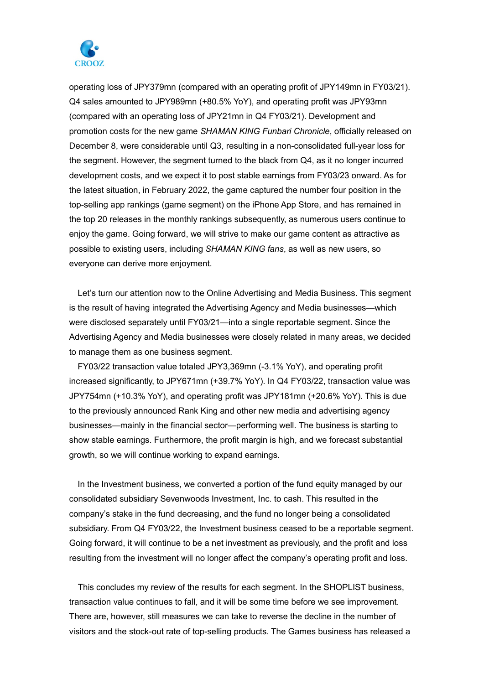

operating loss of JPY379mn (compared with an operating profit of JPY149mn in FY03/21). Q4 sales amounted to JPY989mn (+80.5% YoY), and operating profit was JPY93mn (compared with an operating loss of JPY21mn in Q4 FY03/21). Development and promotion costs for the new game *SHAMAN KING Funbari Chronicle*, officially released on December 8, were considerable until Q3, resulting in a non-consolidated full-year loss for the segment. However, the segment turned to the black from Q4, as it no longer incurred development costs, and we expect it to post stable earnings from FY03/23 onward. As for the latest situation, in February 2022, the game captured the number four position in the top-selling app rankings (game segment) on the iPhone App Store, and has remained in the top 20 releases in the monthly rankings subsequently, as numerous users continue to enjoy the game. Going forward, we will strive to make our game content as attractive as possible to existing users, including *SHAMAN KING fans*, as well as new users, so everyone can derive more enjoyment.

Let's turn our attention now to the Online Advertising and Media Business. This segment is the result of having integrated the Advertising Agency and Media businesses—which were disclosed separately until FY03/21—into a single reportable segment. Since the Advertising Agency and Media businesses were closely related in many areas, we decided to manage them as one business segment.

FY03/22 transaction value totaled JPY3,369mn (-3.1% YoY), and operating profit increased significantly, to JPY671mn (+39.7% YoY). In Q4 FY03/22, transaction value was JPY754mn (+10.3% YoY), and operating profit was JPY181mn (+20.6% YoY). This is due to the previously announced Rank King and other new media and advertising agency businesses—mainly in the financial sector—performing well. The business is starting to show stable earnings. Furthermore, the profit margin is high, and we forecast substantial growth, so we will continue working to expand earnings.

In the Investment business, we converted a portion of the fund equity managed by our consolidated subsidiary Sevenwoods Investment, Inc. to cash. This resulted in the company's stake in the fund decreasing, and the fund no longer being a consolidated subsidiary. From Q4 FY03/22, the Investment business ceased to be a reportable segment. Going forward, it will continue to be a net investment as previously, and the profit and loss resulting from the investment will no longer affect the company's operating profit and loss.

This concludes my review of the results for each segment. In the SHOPLIST business, transaction value continues to fall, and it will be some time before we see improvement. There are, however, still measures we can take to reverse the decline in the number of visitors and the stock-out rate of top-selling products. The Games business has released a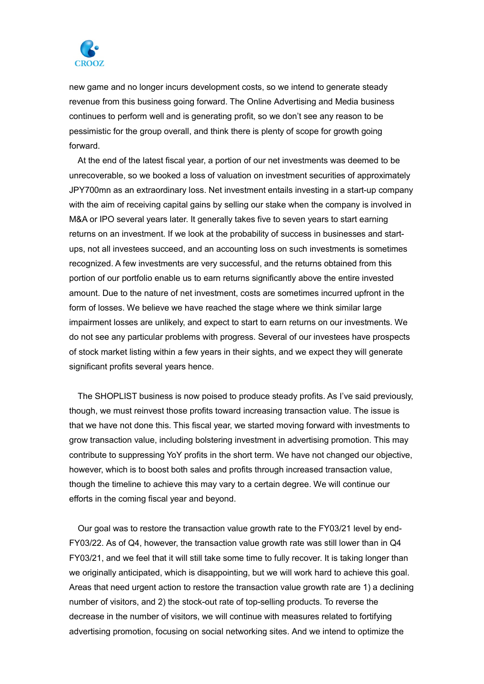

new game and no longer incurs development costs, so we intend to generate steady revenue from this business going forward. The Online Advertising and Media business continues to perform well and is generating profit, so we don't see any reason to be pessimistic for the group overall, and think there is plenty of scope for growth going forward.

At the end of the latest fiscal year, a portion of our net investments was deemed to be unrecoverable, so we booked a loss of valuation on investment securities of approximately JPY700mn as an extraordinary loss. Net investment entails investing in a start-up company with the aim of receiving capital gains by selling our stake when the company is involved in M&A or IPO several years later. It generally takes five to seven years to start earning returns on an investment. If we look at the probability of success in businesses and startups, not all investees succeed, and an accounting loss on such investments is sometimes recognized. A few investments are very successful, and the returns obtained from this portion of our portfolio enable us to earn returns significantly above the entire invested amount. Due to the nature of net investment, costs are sometimes incurred upfront in the form of losses. We believe we have reached the stage where we think similar large impairment losses are unlikely, and expect to start to earn returns on our investments. We do not see any particular problems with progress. Several of our investees have prospects of stock market listing within a few years in their sights, and we expect they will generate significant profits several years hence.

The SHOPLIST business is now poised to produce steady profits. As I've said previously, though, we must reinvest those profits toward increasing transaction value. The issue is that we have not done this. This fiscal year, we started moving forward with investments to grow transaction value, including bolstering investment in advertising promotion. This may contribute to suppressing YoY profits in the short term. We have not changed our objective, however, which is to boost both sales and profits through increased transaction value, though the timeline to achieve this may vary to a certain degree. We will continue our efforts in the coming fiscal year and beyond.

Our goal was to restore the transaction value growth rate to the FY03/21 level by end-FY03/22. As of Q4, however, the transaction value growth rate was still lower than in Q4 FY03/21, and we feel that it will still take some time to fully recover. It is taking longer than we originally anticipated, which is disappointing, but we will work hard to achieve this goal. Areas that need urgent action to restore the transaction value growth rate are 1) a declining number of visitors, and 2) the stock-out rate of top-selling products. To reverse the decrease in the number of visitors, we will continue with measures related to fortifying advertising promotion, focusing on social networking sites. And we intend to optimize the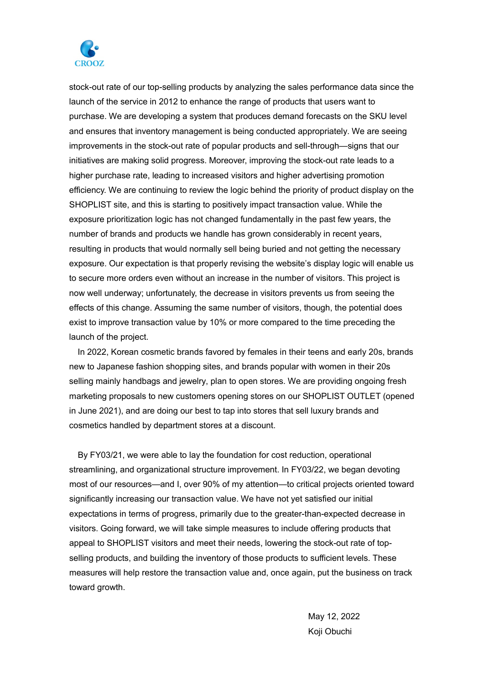

stock-out rate of our top-selling products by analyzing the sales performance data since the launch of the service in 2012 to enhance the range of products that users want to purchase. We are developing a system that produces demand forecasts on the SKU level and ensures that inventory management is being conducted appropriately. We are seeing improvements in the stock-out rate of popular products and sell-through—signs that our initiatives are making solid progress. Moreover, improving the stock-out rate leads to a higher purchase rate, leading to increased visitors and higher advertising promotion efficiency. We are continuing to review the logic behind the priority of product display on the SHOPLIST site, and this is starting to positively impact transaction value. While the exposure prioritization logic has not changed fundamentally in the past few years, the number of brands and products we handle has grown considerably in recent years, resulting in products that would normally sell being buried and not getting the necessary exposure. Our expectation is that properly revising the website's display logic will enable us to secure more orders even without an increase in the number of visitors. This project is now well underway; unfortunately, the decrease in visitors prevents us from seeing the effects of this change. Assuming the same number of visitors, though, the potential does exist to improve transaction value by 10% or more compared to the time preceding the launch of the project.

In 2022, Korean cosmetic brands favored by females in their teens and early 20s, brands new to Japanese fashion shopping sites, and brands popular with women in their 20s selling mainly handbags and jewelry, plan to open stores. We are providing ongoing fresh marketing proposals to new customers opening stores on our SHOPLIST OUTLET (opened in June 2021), and are doing our best to tap into stores that sell luxury brands and cosmetics handled by department stores at a discount.

By FY03/21, we were able to lay the foundation for cost reduction, operational streamlining, and organizational structure improvement. In FY03/22, we began devoting most of our resources—and I, over 90% of my attention—to critical projects oriented toward significantly increasing our transaction value. We have not yet satisfied our initial expectations in terms of progress, primarily due to the greater-than-expected decrease in visitors. Going forward, we will take simple measures to include offering products that appeal to SHOPLIST visitors and meet their needs, lowering the stock-out rate of topselling products, and building the inventory of those products to sufficient levels. These measures will help restore the transaction value and, once again, put the business on track toward growth.

> May 12, 2022 Koji Obuchi